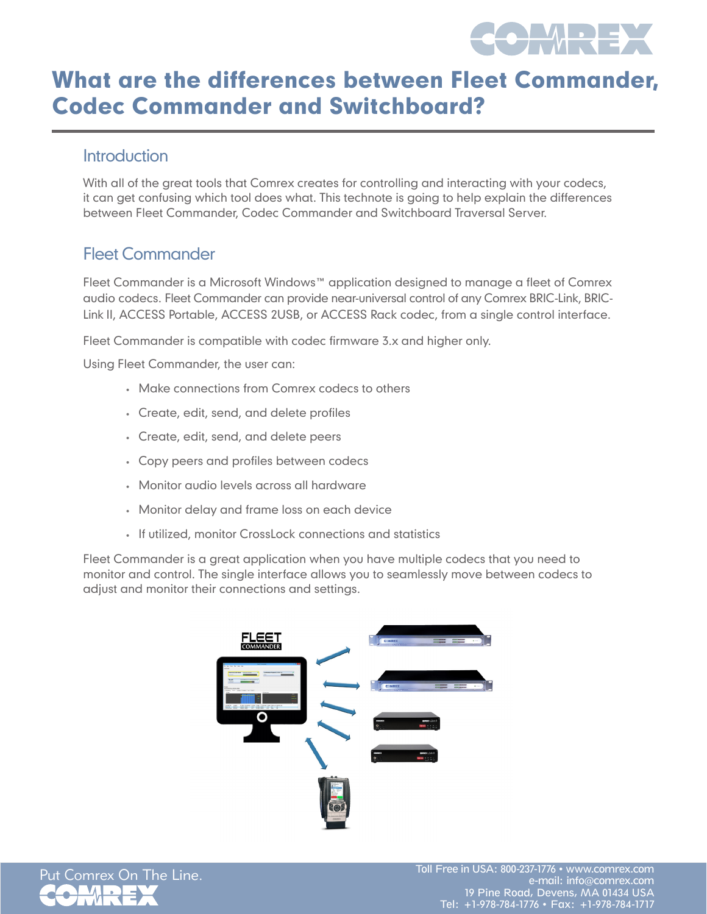

# What are the differences between Fleet Commander, Codec Commander and Switchboard?

#### **Introduction**

With all of the great tools that Comrex creates for controlling and interacting with your codecs, it can get confusing which tool does what. This technote is going to help explain the differences between Fleet Commander, Codec Commander and Switchboard Traversal Server.

### Fleet Commander

Fleet Commander is a Microsoft Windows™ application designed to manage a fleet of Comrex audio codecs. Fleet Commander can provide near-universal control of any Comrex BRIC-Link, BRIC-Link II, ACCESS Portable, ACCESS 2USB, or ACCESS Rack codec, from a single control interface.

Fleet Commander is compatible with codec firmware 3.x and higher only.

Using Fleet Commander, the user can:

- Make connections from Comrex codecs to others
- • Create, edit, send, and delete profiles
- • Create, edit, send, and delete peers
- • Copy peers and profiles between codecs
- • Monitor audio levels across all hardware
- Monitor delay and frame loss on each device
- If utilized, monitor CrossLock connections and statistics

Fleet Commander is a great application when you have multiple codecs that you need to monitor and control. The single interface allows you to seamlessly move between codecs to adjust and monitor their connections and settings.



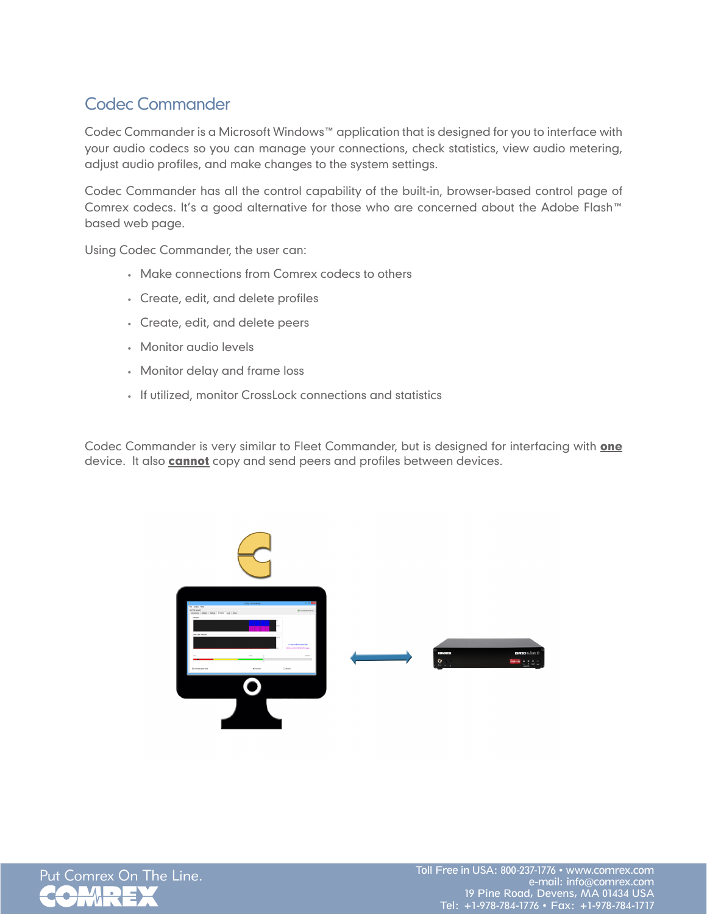## Codec Commander

Codec Commander is a Microsoft Windows™ application that is designed for you to interface with your audio codecs so you can manage your connections, check statistics, view audio metering, adjust audio profiles, and make changes to the system settings.

Codec Commander has all the control capability of the built-in, browser-based control page of Comrex codecs. It's a good alternative for those who are concerned about the Adobe Flash™ based web page.

Using Codec Commander, the user can:

- Make connections from Comrex codecs to others
- • Create, edit, and delete profiles
- • Create, edit, and delete peers
- • Monitor audio levels
- Monitor delay and frame loss
- If utilized, monitor CrossLock connections and statistics

Codec Commander is very similar to Fleet Commander, but is designed for interfacing with one device. It also **cannot** copy and send peers and profiles between devices.